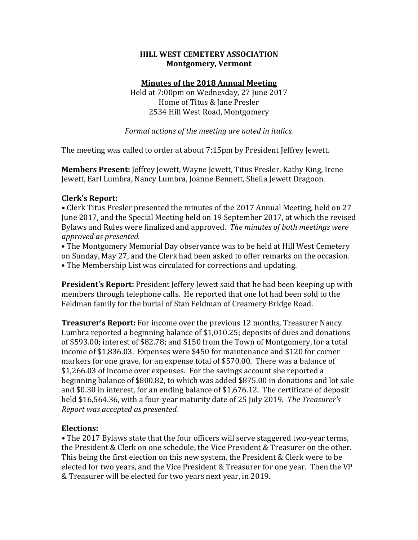## **HILL WEST CEMETERY ASSOCIATION Montgomery, Vermont**

## **Minutes of the 2018 Annual Meeting**

Held at 7:00pm on Wednesday, 27 June 2017 Home of Titus & Jane Presler 2534 Hill West Road, Montgomery

Formal actions of the meeting are noted in italics.

The meeting was called to order at about 7:15pm by President Jeffrey Jewett.

**Members Present:** Jeffrey Jewett, Wayne Jewett, Titus Presler, Kathy King, Irene Jewett, Earl Lumbra, Nancy Lumbra, Joanne Bennett, Sheila Jewett Dragoon.

# **Clerk's Report:**

• Clerk Titus Presler presented the minutes of the 2017 Annual Meeting, held on 27 June 2017, and the Special Meeting held on 19 September 2017, at which the revised Bylaws and Rules were finalized and approved. The minutes of both meetings were *approved as presented.* 

• The Montgomery Memorial Day observance was to be held at Hill West Cemetery on Sunday, May 27, and the Clerk had been asked to offer remarks on the occasion. • The Membership List was circulated for corrections and updating.

**President's Report:** President Jeffery Jewett said that he had been keeping up with members through telephone calls. He reported that one lot had been sold to the Feldman family for the burial of Stan Feldman of Creamery Bridge Road.

**Treasurer's Report:** For income over the previous 12 months, Treasurer Nancy Lumbra reported a beginning balance of \$1,010.25; deposits of dues and donations of \$593.00; interest of \$82.78; and \$150 from the Town of Montgomery, for a total income of \$1,836.03. Expenses were \$450 for maintenance and \$120 for corner markers for one grave, for an expense total of \$570.00. There was a balance of \$1,266.03 of income over expenses. For the savings account she reported a beginning balance of \$800.82, to which was added \$875.00 in donations and lot sale and  $$0.30$  in interest, for an ending balance of  $$1,676.12$ . The certificate of deposit held \$16,564.36, with a four-year maturity date of 25 July 2019. The Treasurer's *Report* was accepted as presented.

# **Elections:**

• The 2017 Bylaws state that the four officers will serve staggered two-year terms, the President & Clerk on one schedule, the Vice President & Treasurer on the other. This being the first election on this new system, the President & Clerk were to be elected for two years, and the Vice President & Treasurer for one year. Then the VP & Treasurer will be elected for two years next year, in 2019.